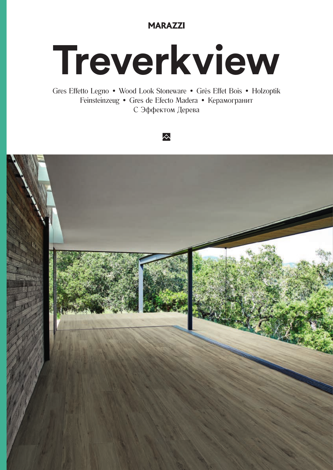### **MARAZZI**

# Treverkview

Gres Effetto Legno · Wood Look Stoneware · Grès Effet Bois · Holzoptik Feinsteinzeug • Gres de Efecto Madera • Керамогранит С Эффектом Дерева



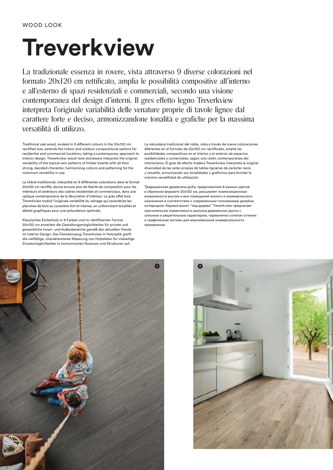## **Treverkview**

La tradizionale essenza in rovere, vista attraverso 9 diverse colorazioni nel formato 20x120 cm rettificato, amplia le possibilità compositive all'interno e all'esterno di spazi residenziali e commerciali, secondo una visione contemporanea del design d'interni. Il gres effetto legno Treverkview interpreta l'originale variabilità delle venature proprie di tavole lignee dal carattere forte e deciso, armonizzandone tonalità e grafiche per la massima versatilità di utilizzo.

Traditional oak wood, evoked in 9 different colours in the 20x120 cm rectified size, extends the indoor and outdoor compositional options for residential and commercial locations, taking a contemporary approach to interior design. Treverkview wood-look stoneware interprets the original variability of the typical vein patterns of timber boards with all their strong, decided character, harmonising colours and patterning for the maximum versatility in use.

Le chêne traditionnel, interprété en 9 différentes colorations dans le format 20x120 cm rectifié, donne encore plus de liberté de composition pour les intérieurs et extérieurs des cadres résidentiels et commerciaux, dans une optique contemporaine de la décoration d'intérieur. Le grès effet bois Treverkview traduit l'originale variabilité du veinage qui caractérise les planches de bois au caractère fort et intense, en uniformisant tonalités et détails graphiques pour une polyvalence optimale.

Klassisches Eichenholz in 9 Farben und im rektifizierten Format 20x120 cm erweitert die Gestaltungsmöglichkeiten für private und gewerbliche Innen- und Außenbereiche gemäß den aktuellen Trends im Interior Design. Das Feinsteinzeug Treverkview in Holzoptik greift die vielfältige, charakterstarke Maserung von Holzdielen für vielseitige Einsatzmöglichkeiten in harmonischen Nuancen und Strukturen auf.

La naturaleza tradicional del roble, vista a través de nueve coloraciones diferentes en el formato de 20x120 cm rectificado, amplía las posibilidades compositivas en el interior y el exterior de espacios residenciales y comerciales, según una visión contemporánea del interiorismo. El gres de efecto madera Treverkview interpreta la original diversidad de las vetas propias de tablas lignarias de carácter recio y resuelto, armonizando sus tonalidades y grafismos para brindar la máxima versatilidad de utilización.

Традиционная древесина дуба, предложенная 9 разных цветов в обрезном формате 20х120 см, расширяет композиционные возможности внутри и вне помещений жилого и коммерческого назначения в соответствии с современным толкованием дизайна интерьеров. Керамогранит "под дерево" Treverkview предлагает оригинальную изменчивость рисунка деревянных досок с сильным и решительным характером, гармонично сочетая оттенки и графические мотивы для максимальной универсальности применения.



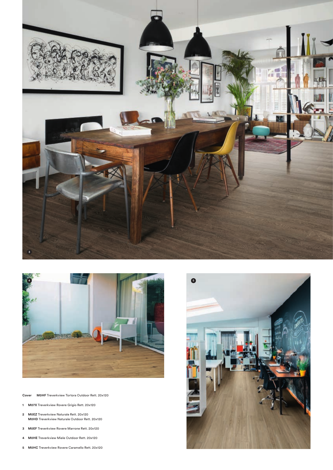

**Cover M0HF** Treverkview Tortora Outdoor Rett. 20x120

- **M07X** Treverkview Rovere Grigio Rett. 20x120
- **M0EZ** Treverkview Naturale Rett. 20x120 **M0HD** Treverkview Naturale Outdoor Rett. 20x120
- **M0EF** Treverkview Rovere Marrone Rett. 20x120
- **M0HE** Treverkview Miele Outdoor Rett. 20x120
- **M0HC** Treverkview Rovere Caramello Rett. 20x120